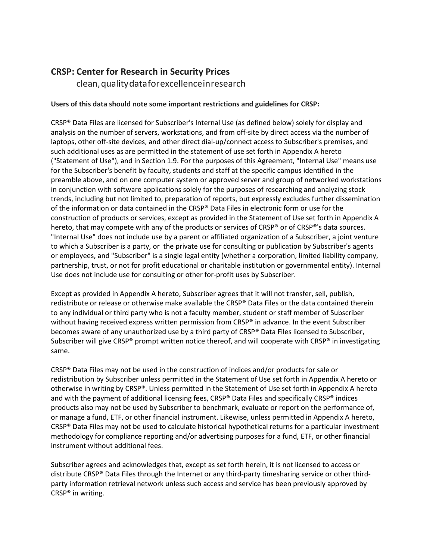## **CRSP: Center for Research in Security Prices**

clean,qualitydataforexcellenceinresearch

## **Users of this data should note some important restrictions and guidelines for CRSP:**

CRSP® Data Files are licensed for Subscriber's Internal Use (as defined below) solely for display and analysis on the number of servers, workstations, and from off-site by direct access via the number of laptops, other off-site devices, and other direct dial-up/connect access to Subscriber's premises, and such additional uses as are permitted in the statement of use set forth in Appendix A hereto ("Statement of Use"), and in Section 1.9. For the purposes of this Agreement, "Internal Use" means use for the Subscriber's benefit by faculty, students and staff at the specific campus identified in the preamble above, and on one computer system or approved server and group of networked workstations in conjunction with software applications solely for the purposes of researching and analyzing stock trends, including but not limited to, preparation of reports, but expressly excludes further dissemination of the information or data contained in the CRSP® Data Files in electronic form or use for the construction of products or services, except as provided in the Statement of Use set forth in Appendix A hereto, that may compete with any of the products or services of CRSP® or of CRSP®'s data sources. "Internal Use" does not include use by a parent or affiliated organization of a Subscriber, a joint venture to which a Subscriber is a party, or the private use for consulting or publication by Subscriber's agents or employees, and "Subscriber" is a single legal entity (whether a corporation, limited liability company, partnership, trust, or not for profit educational or charitable institution or governmental entity). Internal Use does not include use for consulting or other for-profit uses by Subscriber.

Except as provided in Appendix A hereto, Subscriber agrees that it will not transfer, sell, publish, redistribute or release or otherwise make available the CRSP® Data Files or the data contained therein to any individual or third party who is not a faculty member, student or staff member of Subscriber without having received express written permission from CRSP® in advance. In the event Subscriber becomes aware of any unauthorized use by a third party of CRSP® Data Files licensed to Subscriber, Subscriber will give CRSP® prompt written notice thereof, and will cooperate with CRSP® in investigating same.

CRSP® Data Files may not be used in the construction of indices and/or products for sale or redistribution by Subscriber unless permitted in the Statement of Use set forth in Appendix A hereto or otherwise in writing by CRSP®. Unless permitted in the Statement of Use set forth in Appendix A hereto and with the payment of additional licensing fees, CRSP® Data Files and specifically CRSP® indices products also may not be used by Subscriber to benchmark, evaluate or report on the performance of, or manage a fund, ETF, or other financial instrument. Likewise, unless permitted in Appendix A hereto, CRSP® Data Files may not be used to calculate historical hypothetical returns for a particular investment methodology for compliance reporting and/or advertising purposes for a fund, ETF, or other financial instrument without additional fees.

Subscriber agrees and acknowledges that, except as set forth herein, it is not licensed to access or distribute CRSP® Data Files through the Internet or any third-party timesharing service or other thirdparty information retrieval network unless such access and service has been previously approved by CRSP® in writing.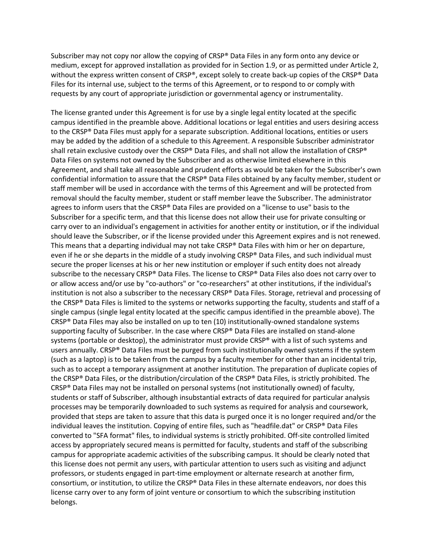Subscriber may not copy nor allow the copying of CRSP® Data Files in any form onto any device or medium, except for approved installation as provided for in Section 1.9, or as permitted under Article 2, without the express written consent of CRSP®, except solely to create back-up copies of the CRSP® Data Files for its internal use, subject to the terms of this Agreement, or to respond to or comply with requests by any court of appropriate jurisdiction or governmental agency or instrumentality.

The license granted under this Agreement is for use by a single legal entity located at the specific campus identified in the preamble above. Additional locations or legal entities and users desiring access to the CRSP® Data Files must apply for a separate subscription. Additional locations, entities or users may be added by the addition of a schedule to this Agreement. A responsible Subscriber administrator shall retain exclusive custody over the CRSP® Data Files, and shall not allow the installation of CRSP® Data Files on systems not owned by the Subscriber and as otherwise limited elsewhere in this Agreement, and shall take all reasonable and prudent efforts as would be taken for the Subscriber's own confidential information to assure that the CRSP® Data Files obtained by any faculty member, student or staff member will be used in accordance with the terms of this Agreement and will be protected from removal should the faculty member, student or staff member leave the Subscriber. The administrator agrees to inform users that the CRSP® Data Files are provided on a "license to use" basis to the Subscriber for a specific term, and that this license does not allow their use for private consulting or carry over to an individual's engagement in activities for another entity or institution, or if the individual should leave the Subscriber, or if the license provided under this Agreement expires and is not renewed. This means that a departing individual may not take CRSP® Data Files with him or her on departure, even if he or she departs in the middle of a study involving CRSP® Data Files, and such individual must secure the proper licenses at his or her new institution or employer if such entity does not already subscribe to the necessary CRSP® Data Files. The license to CRSP® Data Files also does not carry over to or allow access and/or use by "co-authors" or "co-researchers" at other institutions, if the individual's institution is not also a subscriber to the necessary CRSP® Data Files. Storage, retrieval and processing of the CRSP® Data Files is limited to the systems or networks supporting the faculty, students and staff of a single campus (single legal entity located at the specific campus identified in the preamble above). The CRSP® Data Files may also be installed on up to ten (10) institutionally-owned standalone systems supporting faculty of Subscriber. In the case where CRSP® Data Files are installed on stand-alone systems (portable or desktop), the administrator must provide CRSP<sup>®</sup> with a list of such systems and users annually. CRSP® Data Files must be purged from such institutionally owned systems if the system (such as a laptop) is to be taken from the campus by a faculty member for other than an incidental trip, such as to accept a temporary assignment at another institution. The preparation of duplicate copies of the CRSP® Data Files, or the distribution/circulation of the CRSP® Data Files, is strictly prohibited. The CRSP® Data Files may not be installed on personal systems (not institutionally owned) of faculty, students or staff of Subscriber, although insubstantial extracts of data required for particular analysis processes may be temporarily downloaded to such systems as required for analysis and coursework, provided that steps are taken to assure that this data is purged once it is no longer required and/or the individual leaves the institution. Copying of entire files, such as "headfile.dat" or CRSP® Data Files converted to "SFA format" files, to individual systems is strictly prohibited. Off-site controlled limited access by appropriately secured means is permitted for faculty, students and staff of the subscribing campus for appropriate academic activities of the subscribing campus. It should be clearly noted that this license does not permit any users, with particular attention to users such as visiting and adjunct professors, or students engaged in part-time employment or alternate research at another firm, consortium, or institution, to utilize the CRSP® Data Files in these alternate endeavors, nor does this license carry over to any form of joint venture or consortium to which the subscribing institution belongs.